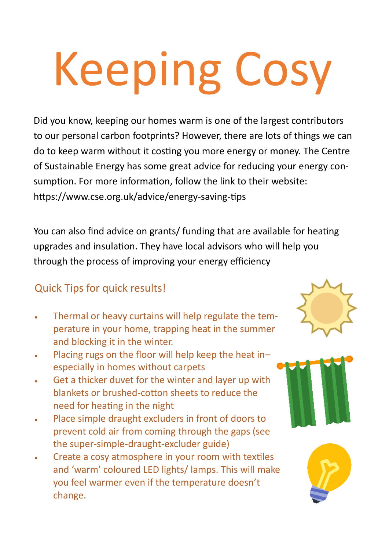# Keeping Cosy

Did you know, keeping our homes warm is one of the largest contributors to our personal carbon footprints? However, there are lots of things we can do to keep warm without it costing you more energy or money. The Centre of Sustainable Energy has some great advice for reducing your energy consumption. For more information, follow the link to their website: https://www.cse.org.uk/advice/energy-saving-tips

You can also find advice on grants/ funding that are available for heating upgrades and insulation. They have local advisors who will help you through the process of improving your energy efficiency

## Quick Tips for quick results!

- Thermal or heavy curtains will help regulate the temperature in your home, trapping heat in the summer and blocking it in the winter.
- Placing rugs on the floor will help keep the heat in– especially in homes without carpets
- Get a thicker duvet for the winter and layer up with blankets or brushed-cotton sheets to reduce the need for heating in the night
- Place simple draught excluders in front of doors to prevent cold air from coming through the gaps (see the super-simple-draught-excluder guide)
- Create a cosy atmosphere in your room with textiles and 'warm' coloured LED lights/ lamps. This will make you feel warmer even if the temperature doesn't change.





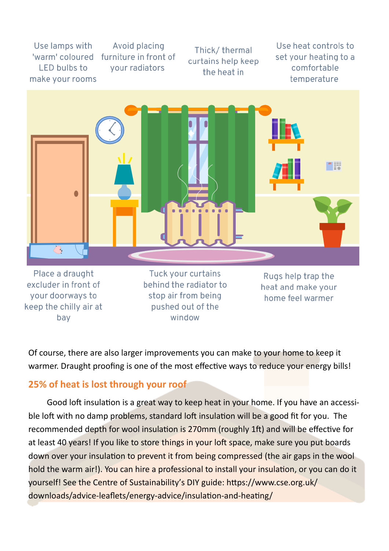Use lamps with 'warm' coloured **LED bulbs to** make your rooms

Avoid placing furniture in front of vour radiators

Thick/thermal curtains help keep the heat in

Use heat controls to set your heating to a comfortable temperature



Place a draught excluder in front of your doorways to keep the chilly air at bay

Tuck your curtains behind the radiator to stop air from being pushed out of the window

Rugs help trap the heat and make your home feel warmer

Of course, there are also larger improvements you can make to your home to keep it warmer. Draught proofing is one of the most effective ways to reduce your energy bills!

#### **25% of heat is lost through your roof**

Good loft insulation is a great way to keep heat in your home. If you have an accessible loft with no damp problems, standard loft insulation will be a good fit for you. The recommended depth for wool insulation is 270mm (roughly 1ft) and will be effective for at least 40 years! If you like to store things in your loft space, make sure you put boards down over your insulation to prevent it from being compressed (the air gaps in the wool hold the warm air!). You can hire a professional to install your insulation, or you can do it yourself! See the Centre of Sustainability's DIY guide: https://www.cse.org.uk/ downloads/advice-leaflets/energy-advice/insulation-and-heating/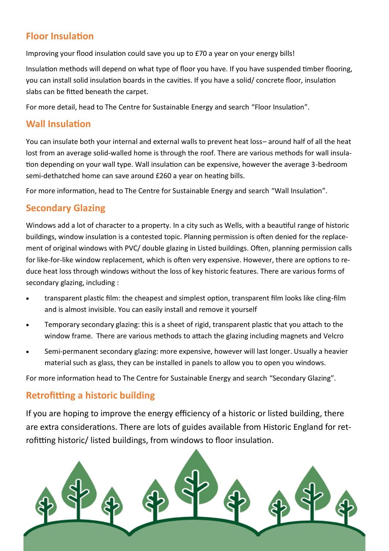#### **Floor Insulation**

Improving your flood insulation could save you up to £70 a year on your energy bills!

Insulation methods will depend on what type of floor you have. If you have suspended timber flooring, you can install solid insulation boards in the cavities. If you have a solid/ concrete floor, insulation slabs can be fitted beneath the carpet.

For more detail, head to The Centre for Sustainable Energy and search "Floor Insulation".

#### **Wall Insulation**

You can insulate both your internal and external walls to prevent heat loss– around half of all the heat lost from an average solid-walled home is through the roof. There are various methods for wall insulation depending on your wall type. Wall insulation can be expensive, however the average 3-bedroom semi-dethatched home can save around £260 a year on heating bills.

For more information, head to The Centre for Sustainable Energy and search "Wall Insulation".

#### **Secondary Glazing**

Windows add a lot of character to a property. In a city such as Wells, with a beautiful range of historic buildings, window insulation is a contested topic. Planning permission is often denied for the replacement of original windows with PVC/ double glazing in Listed buildings. Often, planning permission calls for like-for-like window replacement, which is often very expensive. However, there are options to reduce heat loss through windows without the loss of key historic features. There are various forms of secondary glazing, including :

- transparent plastic film: the cheapest and simplest option, transparent film looks like cling-film and is almost invisible. You can easily install and remove it yourself
- Temporary secondary glazing: this is a sheet of rigid, transparent plastic that you attach to the window frame. There are various methods to attach the glazing including magnets and Velcro
- Semi-permanent secondary glazing: more expensive, however will last longer. Usually a heavier material such as glass, they can be installed in panels to allow you to open you windows.

For more information head to The Centre for Sustainable Energy and search "Secondary Glazing".

### **Retrofitting a historic building**

If you are hoping to improve the energy efficiency of a historic or listed building, there are extra considerations. There are lots of guides available from Historic England for retrofitting historic/ listed buildings, from windows to floor insulation.